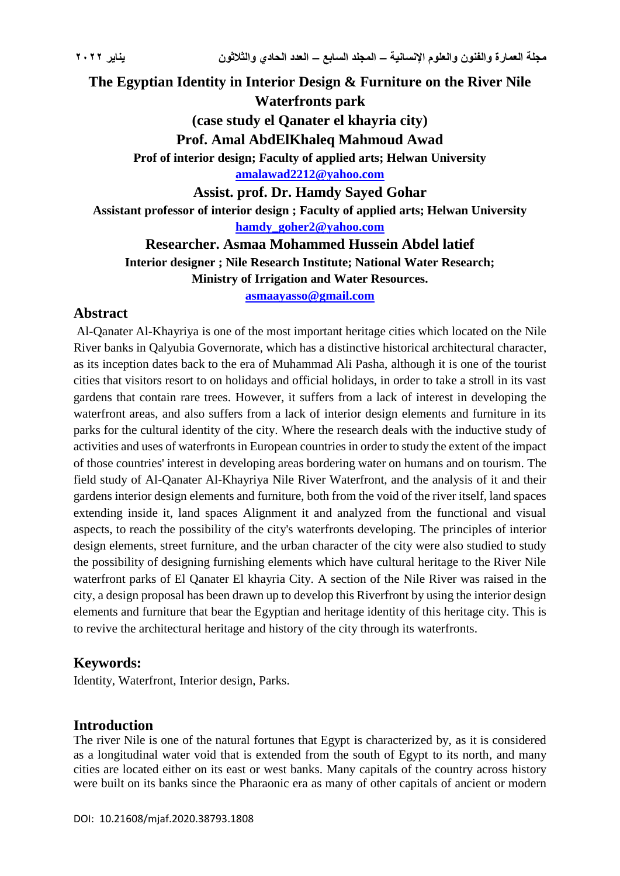**The Egyptian Identity in Interior Design & Furniture on the River Nile Waterfronts park (case study el Qanater el khayria city) Prof. Amal AbdElKhaleq Mahmoud Awad Prof of interior design; Faculty of applied arts; Helwan University [amalawad2212@yahoo.com](mailto:amalawad2212@yahoo.com) Assist. prof. Dr. Hamdy Sayed Gohar Assistant professor of interior design ; Faculty of applied arts; Helwan University [hamdy\\_goher2@yahoo.com](mailto:hamdy_goher2@yahoo.com) Researcher. Asmaa Mohammed Hussein Abdel latief**

**Interior designer ; Nile Research Institute; National Water Research; Ministry of Irrigation and Water Resources.**

**[asmaayasso@gmail.com](mailto:asmaayasso@gmail.com)**

#### **Abstract**

Al-Qanater Al-Khayriya is one of the most important heritage cities which located on the Nile River banks in Qalyubia Governorate, which has a distinctive historical architectural character, as its inception dates back to the era of Muhammad Ali Pasha, although it is one of the tourist cities that visitors resort to on holidays and official holidays, in order to take a stroll in its vast gardens that contain rare trees. However, it suffers from a lack of interest in developing the waterfront areas, and also suffers from a lack of interior design elements and furniture in its parks for the cultural identity of the city. Where the research deals with the inductive study of activities and uses of waterfronts in European countries in order to study the extent of the impact of those countries' interest in developing areas bordering water on humans and on tourism. The field study of Al-Qanater Al-Khayriya Nile River Waterfront, and the analysis of it and their gardens interior design elements and furniture, both from the void of the river itself, land spaces extending inside it, land spaces Alignment it and analyzed from the functional and visual aspects, to reach the possibility of the city's waterfronts developing. The principles of interior design elements, street furniture, and the urban character of the city were also studied to study the possibility of designing furnishing elements which have cultural heritage to the River Nile waterfront parks of El Qanater El khayria City. A section of the Nile River was raised in the city, a design proposal has been drawn up to develop this Riverfront by using the interior design elements and furniture that bear the Egyptian and heritage identity of this heritage city. This is to revive the architectural heritage and history of the city through its waterfronts.

## **Keywords:**

Identity, Waterfront, Interior design, Parks.

#### **Introduction**

The river Nile is one of the natural fortunes that Egypt is characterized by, as it is considered as a longitudinal water void that is extended from the south of Egypt to its north, and many cities are located either on its east or west banks. Many capitals of the country across history were built on its banks since the Pharaonic era as many of other capitals of ancient or modern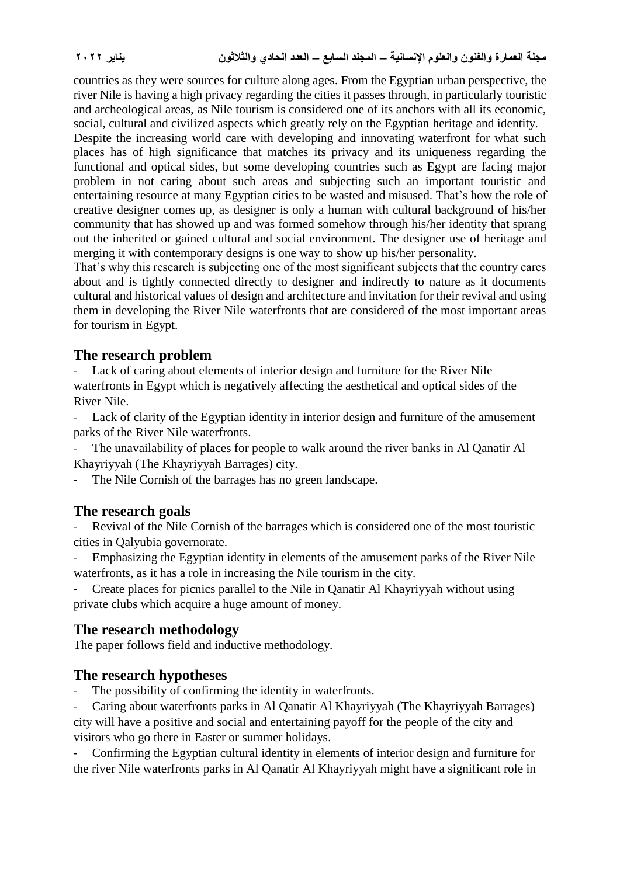countries as they were sources for culture along ages. From the Egyptian urban perspective, the river Nile is having a high privacy regarding the cities it passes through, in particularly touristic and archeological areas, as Nile tourism is considered one of its anchors with all its economic, social, cultural and civilized aspects which greatly rely on the Egyptian heritage and identity.

Despite the increasing world care with developing and innovating waterfront for what such places has of high significance that matches its privacy and its uniqueness regarding the functional and optical sides, but some developing countries such as Egypt are facing major problem in not caring about such areas and subjecting such an important touristic and entertaining resource at many Egyptian cities to be wasted and misused. That's how the role of creative designer comes up, as designer is only a human with cultural background of his/her community that has showed up and was formed somehow through his/her identity that sprang out the inherited or gained cultural and social environment. The designer use of heritage and merging it with contemporary designs is one way to show up his/her personality.

That's why this research is subjecting one of the most significant subjects that the country cares about and is tightly connected directly to designer and indirectly to nature as it documents cultural and historical values of design and architecture and invitation for their revival and using them in developing the River Nile waterfronts that are considered of the most important areas for tourism in Egypt.

# **The research problem**

Lack of caring about elements of interior design and furniture for the River Nile waterfronts in Egypt which is negatively affecting the aesthetical and optical sides of the River Nile.

- Lack of clarity of the Egyptian identity in interior design and furniture of the amusement parks of the River Nile waterfronts.

The unavailability of places for people to walk around the river banks in Al Qanatir Al Khayriyyah (The Khayriyyah Barrages) city.

The Nile Cornish of the barrages has no green landscape.

## **The research goals**

Revival of the Nile Cornish of the barrages which is considered one of the most touristic cities in Qalyubia governorate.

Emphasizing the Egyptian identity in elements of the amusement parks of the River Nile waterfronts, as it has a role in increasing the Nile tourism in the city.

- Create places for picnics parallel to the Nile in Qanatir Al Khayriyyah without using private clubs which acquire a huge amount of money.

# **The research methodology**

The paper follows field and inductive methodology.

## **The research hypotheses**

The possibility of confirming the identity in waterfronts.

Caring about waterfronts parks in Al Qanatir Al Khayriyyah (The Khayriyyah Barrages) city will have a positive and social and entertaining payoff for the people of the city and visitors who go there in Easter or summer holidays.

- Confirming the Egyptian cultural identity in elements of interior design and furniture for the river Nile waterfronts parks in Al Qanatir Al Khayriyyah might have a significant role in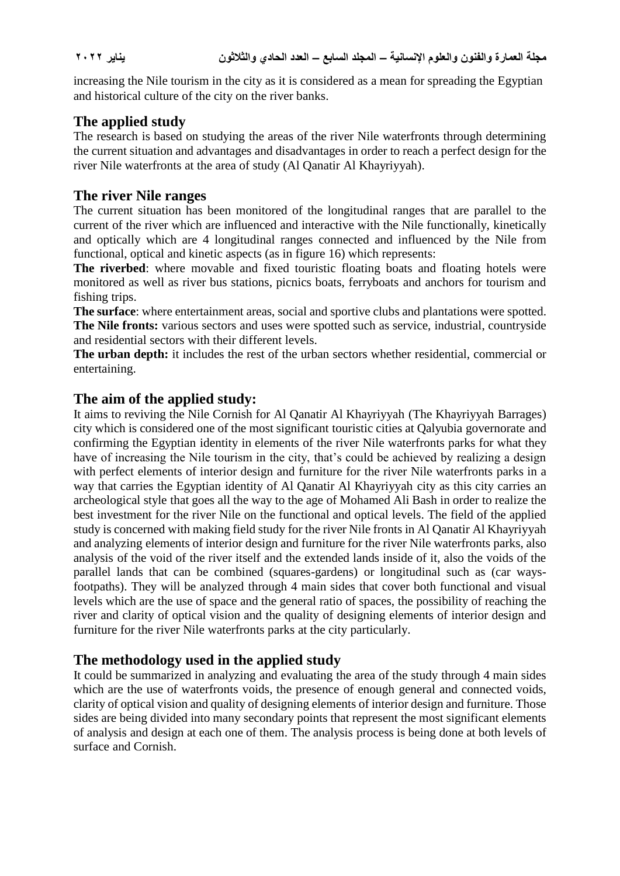increasing the Nile tourism in the city as it is considered as a mean for spreading the Egyptian and historical culture of the city on the river banks.

# **The applied study**

The research is based on studying the areas of the river Nile waterfronts through determining the current situation and advantages and disadvantages in order to reach a perfect design for the river Nile waterfronts at the area of study (Al Qanatir Al Khayriyyah).

# **The river Nile ranges**

The current situation has been monitored of the longitudinal ranges that are parallel to the current of the river which are influenced and interactive with the Nile functionally, kinetically and optically which are 4 longitudinal ranges connected and influenced by the Nile from functional, optical and kinetic aspects (as in figure 16) which represents:

**The riverbed**: where movable and fixed touristic floating boats and floating hotels were monitored as well as river bus stations, picnics boats, ferryboats and anchors for tourism and fishing trips.

**The surface**: where entertainment areas, social and sportive clubs and plantations were spotted. **The Nile fronts:** various sectors and uses were spotted such as service, industrial, countryside and residential sectors with their different levels.

**The urban depth:** it includes the rest of the urban sectors whether residential, commercial or entertaining.

## **The aim of the applied study:**

It aims to reviving the Nile Cornish for Al Qanatir Al Khayriyyah (The Khayriyyah Barrages) city which is considered one of the most significant touristic cities at Qalyubia governorate and confirming the Egyptian identity in elements of the river Nile waterfronts parks for what they have of increasing the Nile tourism in the city, that's could be achieved by realizing a design with perfect elements of interior design and furniture for the river Nile waterfronts parks in a way that carries the Egyptian identity of Al Qanatir Al Khayriyyah city as this city carries an archeological style that goes all the way to the age of Mohamed Ali Bash in order to realize the best investment for the river Nile on the functional and optical levels. The field of the applied study is concerned with making field study for the river Nile fronts in Al Qanatir Al Khayriyyah and analyzing elements of interior design and furniture for the river Nile waterfronts parks, also analysis of the void of the river itself and the extended lands inside of it, also the voids of the parallel lands that can be combined (squares-gardens) or longitudinal such as (car waysfootpaths). They will be analyzed through 4 main sides that cover both functional and visual levels which are the use of space and the general ratio of spaces, the possibility of reaching the river and clarity of optical vision and the quality of designing elements of interior design and furniture for the river Nile waterfronts parks at the city particularly.

# **The methodology used in the applied study**

It could be summarized in analyzing and evaluating the area of the study through 4 main sides which are the use of waterfronts voids, the presence of enough general and connected voids, clarity of optical vision and quality of designing elements of interior design and furniture. Those sides are being divided into many secondary points that represent the most significant elements of analysis and design at each one of them. The analysis process is being done at both levels of surface and Cornish.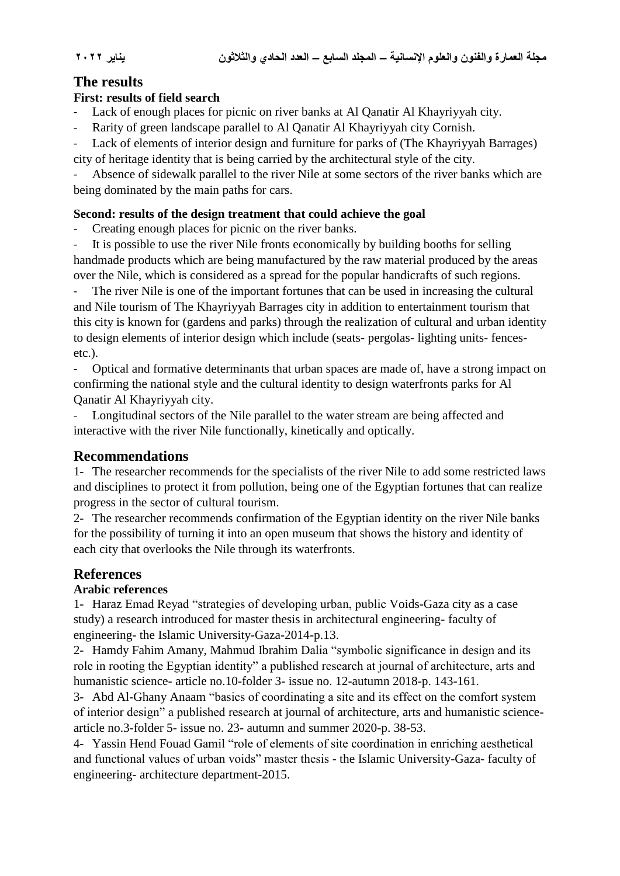## **The results**

#### **First: results of field search**

Lack of enough places for picnic on river banks at Al Qanatir Al Khayriyyah city.

Rarity of green landscape parallel to Al Qanatir Al Khayriyyah city Cornish.

Lack of elements of interior design and furniture for parks of (The Khayriyyah Barrages) city of heritage identity that is being carried by the architectural style of the city.

Absence of sidewalk parallel to the river Nile at some sectors of the river banks which are being dominated by the main paths for cars.

#### **Second: results of the design treatment that could achieve the goal**

Creating enough places for picnic on the river banks.

It is possible to use the river Nile fronts economically by building booths for selling handmade products which are being manufactured by the raw material produced by the areas over the Nile, which is considered as a spread for the popular handicrafts of such regions.

The river Nile is one of the important fortunes that can be used in increasing the cultural and Nile tourism of The Khayriyyah Barrages city in addition to entertainment tourism that this city is known for (gardens and parks) through the realization of cultural and urban identity to design elements of interior design which include (seats- pergolas- lighting units- fencesetc.).

- Optical and formative determinants that urban spaces are made of, have a strong impact on confirming the national style and the cultural identity to design waterfronts parks for Al Qanatir Al Khayriyyah city.

Longitudinal sectors of the Nile parallel to the water stream are being affected and interactive with the river Nile functionally, kinetically and optically.

## **Recommendations**

1- The researcher recommends for the specialists of the river Nile to add some restricted laws and disciplines to protect it from pollution, being one of the Egyptian fortunes that can realize progress in the sector of cultural tourism.

2- The researcher recommends confirmation of the Egyptian identity on the river Nile banks for the possibility of turning it into an open museum that shows the history and identity of each city that overlooks the Nile through its waterfronts.

# **References**

## **Arabic references**

1- Haraz Emad Reyad "strategies of developing urban, public Voids-Gaza city as a case study) a research introduced for master thesis in architectural engineering- faculty of engineering- the Islamic University-Gaza-2014-p.13.

2- Hamdy Fahim Amany, Mahmud Ibrahim Dalia "symbolic significance in design and its role in rooting the Egyptian identity" a published research at journal of architecture, arts and humanistic science- article no.10-folder 3- issue no. 12-autumn 2018-p. 143-161.

3- Abd Al-Ghany Anaam "basics of coordinating a site and its effect on the comfort system of interior design" a published research at journal of architecture, arts and humanistic sciencearticle no.3-folder 5- issue no. 23- autumn and summer 2020-p. 38-53.

4- Yassin Hend Fouad Gamil "role of elements of site coordination in enriching aesthetical and functional values of urban voids" master thesis - the Islamic University-Gaza- faculty of engineering- architecture department-2015.